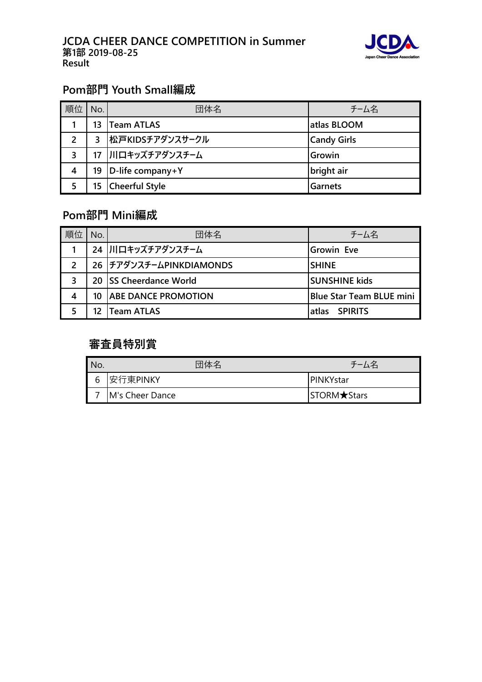

# **Pom部門 Youth Small編成**

| 順位            | No. | 団体名                   | チーム名               |
|---------------|-----|-----------------------|--------------------|
|               | 13  | <b>Team ATLAS</b>     | atlas BLOOM        |
| $\mathcal{L}$ | 3   | 松戸KIDSチアダンスサークル       | <b>Candy Girls</b> |
| 3             |     | 17 川口キッズチアダンスチーム      | Growin             |
| 4             | 19  | D-life company+Y      | bright air         |
|               | 15  | <b>Cheerful Style</b> | <b>Garnets</b>     |

# **Pom部門 Mini編成**

| 順位            | No. | 団体名                        | チーム名                            |
|---------------|-----|----------------------------|---------------------------------|
|               |     | 24 川口キッズチアダンスチーム           | <b>Growin Eve</b>               |
| $\mathcal{P}$ |     | 26 チアダンスチームPINKDIAMONDS    | <b>SHINE</b>                    |
| 3             |     | 20 ISS Cheerdance World    | <b>SUNSHINE kids</b>            |
| 4             | 10  | <b>ABE DANCE PROMOTION</b> | <b>Blue Star Team BLUE mini</b> |
|               |     | <b>Team ATLAS</b>          | <b>SPIRITS</b><br>latlas        |

# **審査員特別賞**

| No. | 団体名             | チーム名                 |
|-----|-----------------|----------------------|
| 6   | 安行東PINKY        | <b>IPINKYstar</b>    |
|     | M's Cheer Dance | STORM <b>★</b> Stars |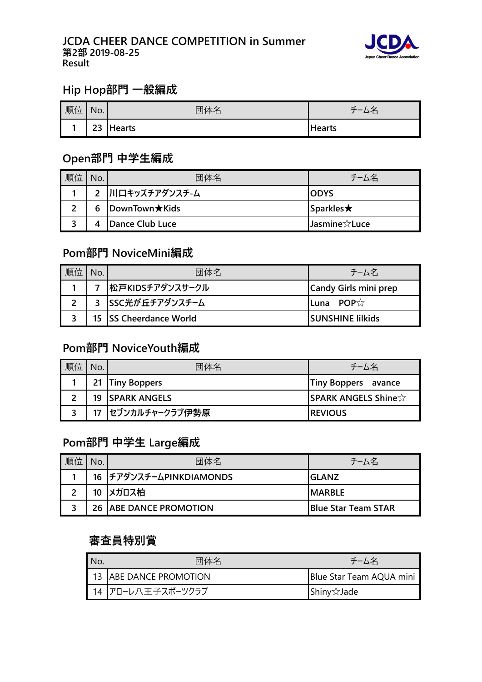#### **JCDA CHEER DANCE COMPETITION in Summer 第2部 2019-08-25 Result**



## **Hip Hop部門 一般編成**

| 順位 | No. | 体         | ∽             |
|----|-----|-----------|---------------|
|    |     | 23 Hearts | <b>Hearts</b> |

#### **Open部門 中学生編成**

| 順位 | No. | 団体名                   | チーム名                |
|----|-----|-----------------------|---------------------|
|    |     | 2 川口キッズチアダンスチ-ム       | IODYS               |
|    | 6   | <b>DownTown</b> ★Kids | Sparkles $\bigstar$ |
|    |     | Dance Club Luce       | Jasmine☆Luce        |

# **Pom部門 NoviceMini編成**

| No. | 団体名                    | チーム名                     |
|-----|------------------------|--------------------------|
|     | 松戸KIDSチアダンスサークル        | Candy Girls mini prep    |
|     | 3 SSC光が丘チアダンスチーム       | <b>ILuna POP</b> $\chi$  |
|     | 15 SS Cheerdance World | <b>ISUNSHINE lilkids</b> |

## **Pom部門 NoviceYouth編成**

| 順位 | 団体名                      | チーム名                       |
|----|--------------------------|----------------------------|
|    | 21   Tiny Boppers        | Tiny Boppers avance        |
|    | <b>19   SPARK ANGELS</b> | <b>SPARK ANGELS Shine☆</b> |
|    | 17 セブンカルチャークラブ伊勢原        | <b>REVIOUS</b>             |

#### **Pom部門 中学生 Large編成**

| 順位 | 団体名                             | チーム名                        |
|----|---------------------------------|-----------------------------|
|    | 16 チアダンスチームPINKDIAMONDS         | IGLANZ                      |
|    | 10 メガロス柏                        | <b>IMARBLE</b>              |
|    | <b>26   ABE DANCE PROMOTION</b> | <b>IBlue Star Team STAR</b> |

#### **審査員特別賞**

| No. | 団体名                    | チーム名                     |
|-----|------------------------|--------------------------|
|     | 13 ABE DANCE PROMOTION | Blue Star Team AQUA mini |
|     | ┃ 14 フローレ八王子スポーツクラブ    | Shiny☆Jade               |